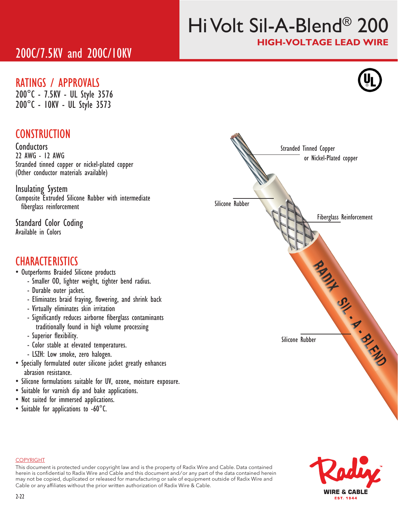# Hi Volt Sil-A-Blend® 200 HIGH-VOLTAGE LEAD WIRE

## 200C/7.5KV and 200C/10KV

## RATINGS / APPROVALS

200°C - 7.5KV - UL Style 3576 200°C - 10KV - UL Style 3573

## **CONSTRUCTION**

**Conductors** 22 AWG - 12 AWG Stranded tinned copper or nickel-plated copper (Other conductor materials available)

Insulating System Composite Extruded Silicone Rubber with intermediate fiberglass reinforcement

Standard Color Coding Available in Colors

## **CHARACTERISTICS**

- Outperforms Braided Silicone products
	- Smaller OD, lighter weight, tighter bend radius.
	- Durable outer jacket.
	- Eliminates braid fraying, flowering, and shrink back
	- Virtually eliminates skin irritation
	- Significantly reduces airborne fiberglass contaminants traditionally found in high volume processing
	- Superior flexibility.
	- Color stable at elevated temperatures.
	- LSZH: Low smoke, zero halogen.
- Specially formulated outer silicone jacket greatly enhances abrasion resistance.
- Silicone formulations suitable for UV, ozone, moisture exposure.
- Suitable for varnish dip and bake applications.
- Not suited for immersed applications.
- Suitable for applications to -60°C.



#### COPYRIGHT

This document is protected under copyright law and is the property of Radix Wire and Cable. Data contained herein is confidential to Radix Wire and Cable and this document and / or any part of the data contained herein may not be copied, duplicated or released for manufacturing or sale of equipment outside of Radix Wire and Cable or any affiliates without the prior written authorization of Radix Wire & Cable.